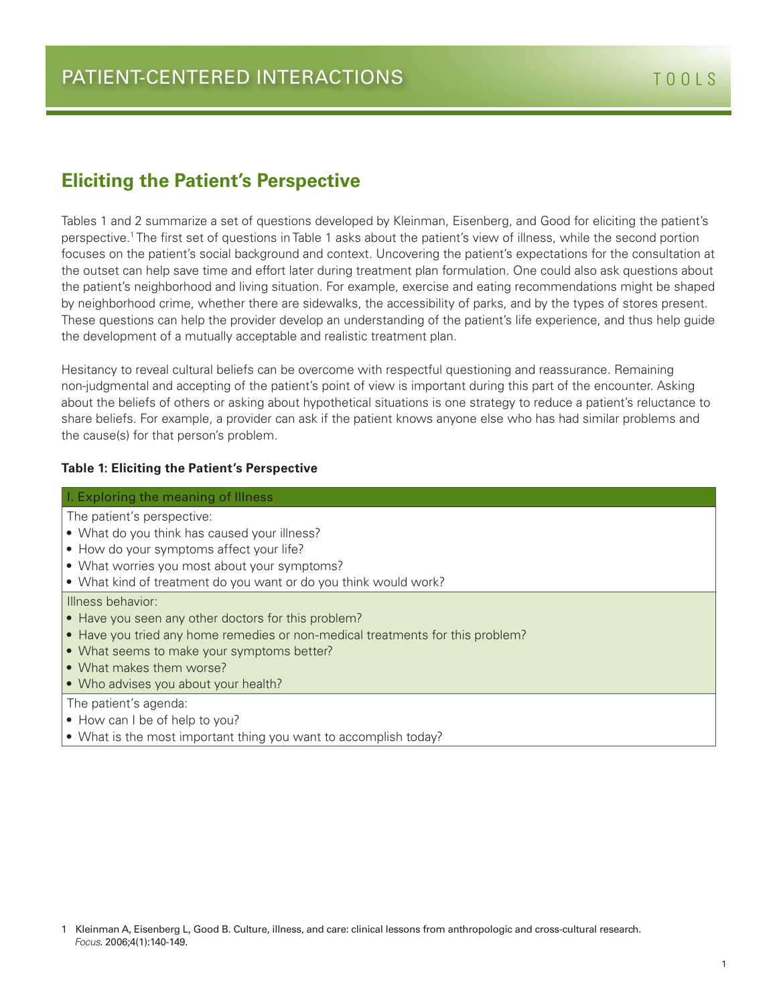### **Eliciting the Patient's Perspective**

Tables 1 and 2 summarize a set of questions developed by Kleinman, Eisenberg, and Good for eliciting the patient's perspective.1 The first set of questions in Table 1 asks about the patient's view of illness, while the second portion focuses on the patient's social background and context. Uncovering the patient's expectations for the consultation at the outset can help save time and effort later during treatment plan formulation. One could also ask questions about the patient's neighborhood and living situation. For example, exercise and eating recommendations might be shaped by neighborhood crime, whether there are sidewalks, the accessibility of parks, and by the types of stores present. These questions can help the provider develop an understanding of the patient's life experience, and thus help guide the development of a mutually acceptable and realistic treatment plan.

Hesitancy to reveal cultural beliefs can be overcome with respectful questioning and reassurance. Remaining non-judgmental and accepting of the patient's point of view is important during this part of the encounter. Asking about the beliefs of others or asking about hypothetical situations is one strategy to reduce a patient's reluctance to share beliefs. For example, a provider can ask if the patient knows anyone else who has had similar problems and the cause(s) for that person's problem.

#### **Table 1: Eliciting the Patient's Perspective**

#### I. Exploring the meaning of Illness

The patient's perspective:

- **•** What do you think has caused your illness?
- **•** How do your symptoms affect your life?
- **•** What worries you most about your symptoms?
- **•** What kind of treatment do you want or do you think would work?

Illness behavior:

- **•** Have you seen any other doctors for this problem?
- **•** Have you tried any home remedies or non-medical treatments for this problem?
- **•** What seems to make your symptoms better?
- **•** What makes them worse?
- **•** Who advises you about your health?

The patient's agenda:

- **•** How can I be of help to you?
- **•** What is the most important thing you want to accomplish today?

<sup>1</sup> Kleinman A, Eisenberg L, Good B. Culture, illness, and care: clinical lessons from anthropologic and cross-cultural research. *Focus*. 2006;4(1):140-149.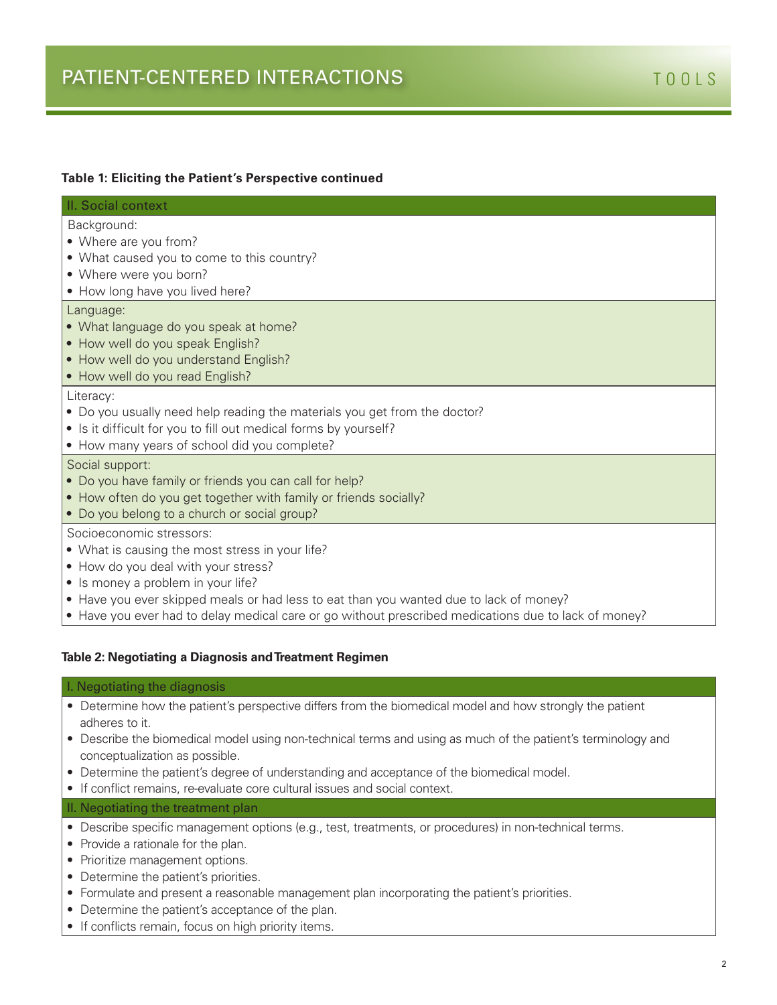| II. Social context                                                        |
|---------------------------------------------------------------------------|
| Background:                                                               |
| • Where are you from?                                                     |
| • What caused you to come to this country?                                |
| • Where were you born?                                                    |
| • How long have you lived here?                                           |
| Language:                                                                 |
| • What language do you speak at home?                                     |
| • How well do you speak English?                                          |
| • How well do you understand English?                                     |
| • How well do you read English?                                           |
| Literacy:                                                                 |
| . Do you usually need help reading the materials you get from the doctor? |
| • Is it difficult for you to fill out medical forms by yourself?          |
| • How many years of school did you complete?                              |
| Social support:                                                           |
| • Do you have family or friends you can call for help?                    |
| • How often do you get together with family or friends socially?          |
| • Do you belong to a church or social group?                              |
| Socioeconomic stressors:                                                  |
| • What is causing the most stress in your life?                           |

- **•** How do you deal with your stress?
- **•** Is money a problem in your life?
- **•** Have you ever skipped meals or had less to eat than you wanted due to lack of money?
- **•** Have you ever had to delay medical care or go without prescribed medications due to lack of money?

#### **Table 2: Negotiating a Diagnosis and Treatment Regimen**

#### I. Negotiating the diagnosis

- Determine how the patient's perspective differs from the biomedical model and how strongly the patient adheres to it.
- Describe the biomedical model using non-technical terms and using as much of the patient's terminology and conceptualization as possible.
- Determine the patient's degree of understanding and acceptance of the biomedical model.
- If conflict remains, re-evaluate core cultural issues and social context.

#### II. Negotiating the treatment plan

- Describe specific management options (e.g., test, treatments, or procedures) in non-technical terms.
- Provide a rationale for the plan.
- Prioritize management options.
- Determine the patient's priorities.
- Formulate and present a reasonable management plan incorporating the patient's priorities.
- Determine the patient's acceptance of the plan.
- If conflicts remain, focus on high priority items.